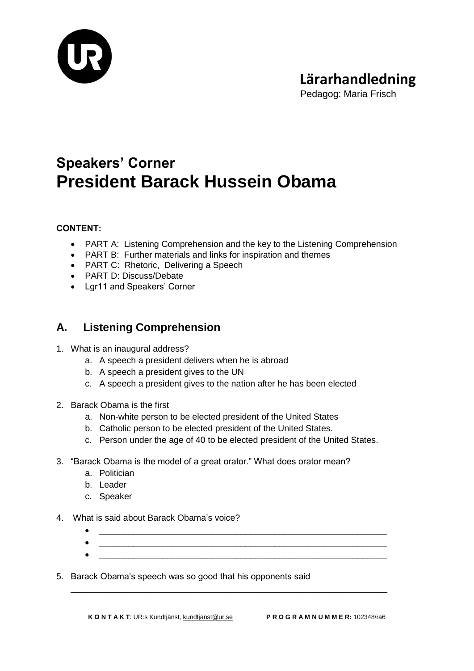

Pedagog: Maria Frisch

# **Speakers' Corner President Barack Hussein Obama**

#### **CONTENT:**

- PART A: Listening Comprehension and the key to the Listening Comprehension
- PART B: Further materials and links for inspiration and themes
- PART C: Rhetoric, Delivering a Speech
- PART D: Discuss/Debate
- Lgr11 and Speakers' Corner

### **A. Listening Comprehension**

- 1. What is an inaugural address?
	- a. A speech a president delivers when he is abroad
	- b. A speech a president gives to the UN
	- c. A speech a president gives to the nation after he has been elected
- 2. Barack Obama is the first
	- a. Non-white person to be elected president of the United States
	- b. Catholic person to be elected president of the United States.
	- c. Person under the age of 40 to be elected president of the United States.
- 3. "Barack Obama is the model of a great orator." What does orator mean?
	- a. Politician
	- b. Leader
	- c. Speaker
- 4. What is said about Barack Obama's voice?
	- \_\_\_\_\_\_\_\_\_\_\_\_\_\_\_\_\_\_\_\_\_\_\_\_\_\_\_\_\_\_\_\_\_\_\_\_\_\_\_\_\_\_\_\_\_\_\_\_\_\_\_\_\_\_\_\_\_\_\_
	- $\bullet$   $\_$  $\bullet$   $\_$

\_\_\_\_\_\_\_\_\_\_\_\_\_\_\_\_\_\_\_\_\_\_\_\_\_\_\_\_\_\_\_\_\_\_\_\_\_\_\_\_\_\_\_\_\_\_\_\_\_\_\_\_\_\_\_\_\_\_\_\_\_\_\_\_\_

5. Barack Obama's speech was so good that his opponents said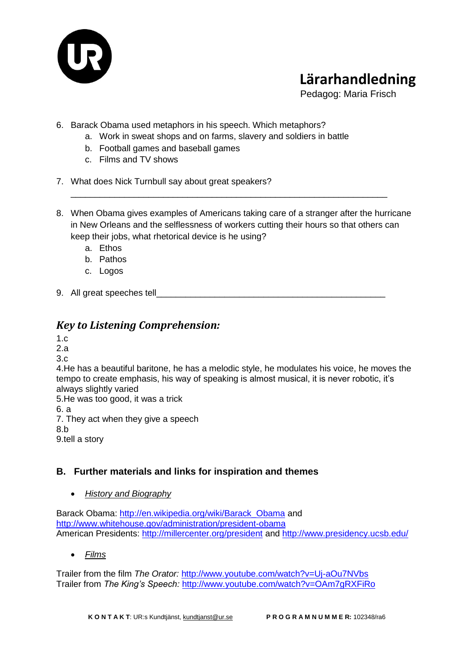

Pedagog: Maria Frisch

- 6. Barack Obama used metaphors in his speech. Which metaphors?
	- a. Work in sweat shops and on farms, slavery and soldiers in battle
	- b. Football games and baseball games
	- c. Films and TV shows
- 7. What does Nick Turnbull say about great speakers?
- 8. When Obama gives examples of Americans taking care of a stranger after the hurricane in New Orleans and the selflessness of workers cutting their hours so that others can keep their jobs, what rhetorical device is he using?

\_\_\_\_\_\_\_\_\_\_\_\_\_\_\_\_\_\_\_\_\_\_\_\_\_\_\_\_\_\_\_\_\_\_\_\_\_\_\_\_\_\_\_\_\_\_\_\_\_\_\_\_\_\_\_\_\_\_\_\_\_\_\_\_\_

- a. Ethos
- b. Pathos
- c. Logos
- 9. All great speeches tell

### *Key to Listening Comprehension:*

1.c

- 2.a
- 3.c

4.He has a beautiful baritone, he has a melodic style, he modulates his voice, he moves the tempo to create emphasis, his way of speaking is almost musical, it is never robotic, it's always slightly varied

5.He was too good, it was a trick

6. a

7. They act when they give a speech

8.b

9.tell a story

### **B. Further materials and links for inspiration and themes**

*History and Biography*

Barack Obama: [http://en.wikipedia.org/wiki/Barack\\_Obama](http://en.wikipedia.org/wiki/Barack_Obama) and <http://www.whitehouse.gov/administration/president-obama> American Presidents:<http://millercenter.org/president> and<http://www.presidency.ucsb.edu/>

*Films*

Trailer from the film *The Orator:* <http://www.youtube.com/watch?v=Uj-aOu7NVbs> Trailer from *The King's Speech:* <http://www.youtube.com/watch?v=OAm7gRXFiRo>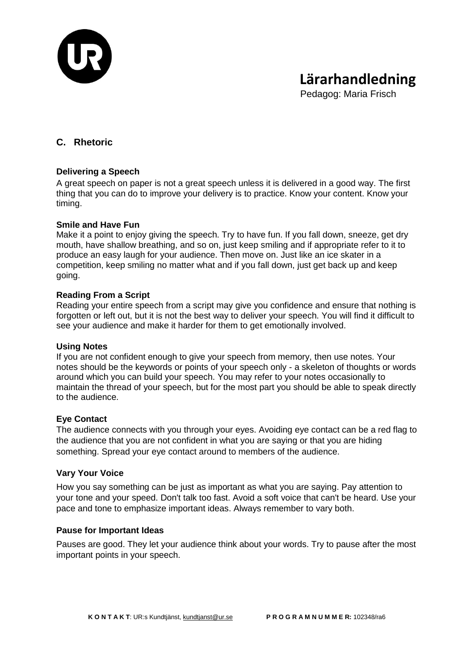

Pedagog: Maria Frisch

#### **C. Rhetoric**

#### **Delivering a Speech**

A great speech on paper is not a great speech unless it is delivered in a good way. The first thing that you can do to improve your delivery is to practice. Know your content. Know your timing.

#### **Smile and Have Fun**

Make it a point to enjoy giving the speech. Try to have fun. If you fall down, sneeze, get dry mouth, have shallow breathing, and so on, just keep smiling and if appropriate refer to it to produce an easy laugh for your audience. Then move on. Just like an ice skater in a competition, keep smiling no matter what and if you fall down, just get back up and keep going.

#### **Reading From a Script**

Reading your entire speech from a script may give you confidence and ensure that nothing is forgotten or left out, but it is not the best way to deliver your speech. You will find it difficult to see your audience and make it harder for them to get emotionally involved.

#### **Using Notes**

If you are not confident enough to give your speech from memory, then use notes. Your notes should be the keywords or points of your speech only - a skeleton of thoughts or words around which you can build your speech. You may refer to your notes occasionally to maintain the thread of your speech, but for the most part you should be able to speak directly to the audience.

#### **Eye Contact**

The audience connects with you through your eyes. Avoiding eye contact can be a red flag to the audience that you are not confident in what you are saying or that you are hiding something. Spread your eye contact around to members of the audience.

#### **Vary Your Voice**

How you say something can be just as important as what you are saying. Pay attention to your tone and your speed. Don't talk too fast. Avoid a soft voice that can't be heard. Use your pace and tone to emphasize important ideas. Always remember to vary both.

#### **Pause for Important Ideas**

Pauses are good. They let your audience think about your words. Try to pause after the most important points in your speech.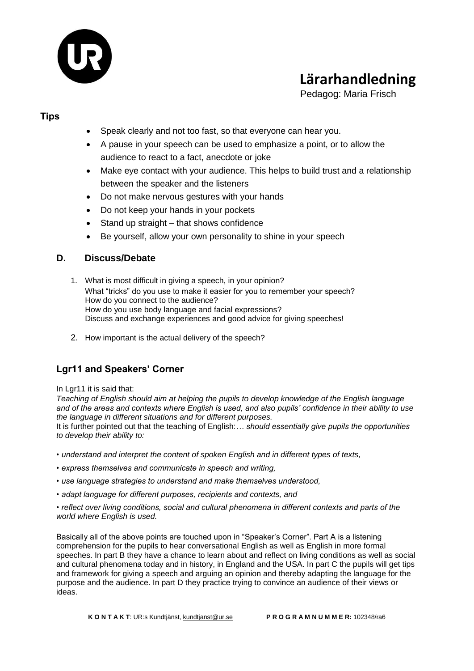

Pedagog: Maria Frisch

#### **Tips**

- Speak clearly and not too fast, so that everyone can hear you.
- A pause in your speech can be used to emphasize a point, or to allow the audience to react to a fact, anecdote or joke
- Make eye contact with your audience. This helps to build trust and a relationship between the speaker and the listeners
- Do not make nervous gestures with your hands
- Do not keep your hands in your pockets
- Stand up straight that shows confidence
- Be yourself, allow your own personality to shine in your speech

#### **D. Discuss/Debate**

- 1. What is most difficult in giving a speech, in your opinion? What "tricks" do you use to make it easier for you to remember your speech? How do you connect to the audience? How do you use body language and facial expressions? Discuss and exchange experiences and good advice for giving speeches!
- 2. How important is the actual delivery of the speech?

#### **Lgr11 and Speakers' Corner**

In Lar11 it is said that:

*Teaching of English should aim at helping the pupils to develop knowledge of the English language and of the areas and contexts where English is used, and also pupils' confidence in their ability to use the language in different situations and for different purposes.*

It is further pointed out that the teaching of English:*… should essentially give pupils the opportunities to develop their ability to:*

- *understand and interpret the content of spoken English and in different types of texts,*
- *express themselves and communicate in speech and writing,*
- *use language strategies to understand and make themselves understood,*
- *adapt language for different purposes, recipients and contexts, and*

*• reflect over living conditions, social and cultural phenomena in different contexts and parts of the world where English is used.*

Basically all of the above points are touched upon in "Speaker's Corner". Part A is a listening comprehension for the pupils to hear conversational English as well as English in more formal speeches. In part B they have a chance to learn about and reflect on living conditions as well as social and cultural phenomena today and in history, in England and the USA. In part C the pupils will get tips and framework for giving a speech and arguing an opinion and thereby adapting the language for the purpose and the audience. In part D they practice trying to convince an audience of their views or ideas.